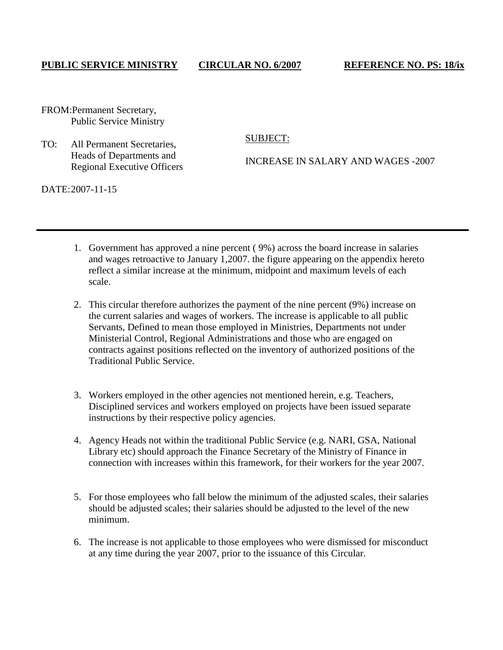## **PUBLIC SERVICE MINISTRY CIRCULAR NO. 6/2007 REFERENCE NO. PS: 18/ix**

FROM:Permanent Secretary, Public Service Ministry

## TO: All Permanent Secretaries, Heads of Departments and Regional Executive Officers

SUBJECT:

INCREASE IN SALARY AND WAGES -2007

DATE:2007-11-15

- 1. Government has approved a nine percent ( 9%) across the board increase in salaries and wages retroactive to January 1,2007. the figure appearing on the appendix hereto reflect a similar increase at the minimum, midpoint and maximum levels of each scale.
- 2. This circular therefore authorizes the payment of the nine percent (9%) increase on the current salaries and wages of workers. The increase is applicable to all public Servants, Defined to mean those employed in Ministries, Departments not under Ministerial Control, Regional Administrations and those who are engaged on contracts against positions reflected on the inventory of authorized positions of the Traditional Public Service.
- 3. Workers employed in the other agencies not mentioned herein, e.g. Teachers, Disciplined services and workers employed on projects have been issued separate instructions by their respective policy agencies.
- 4. Agency Heads not within the traditional Public Service (e.g. NARI, GSA, National Library etc) should approach the Finance Secretary of the Ministry of Finance in connection with increases within this framework, for their workers for the year 2007.
- 5. For those employees who fall below the minimum of the adjusted scales, their salaries should be adjusted scales; their salaries should be adjusted to the level of the new minimum.
- 6. The increase is not applicable to those employees who were dismissed for misconduct at any time during the year 2007, prior to the issuance of this Circular.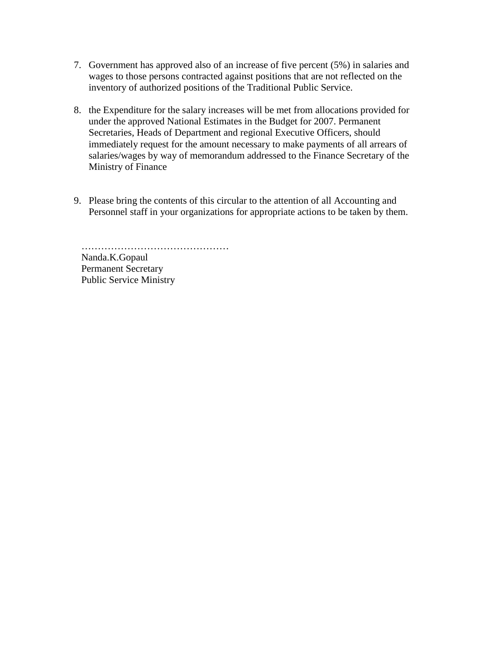- 7. Government has approved also of an increase of five percent (5%) in salaries and wages to those persons contracted against positions that are not reflected on the inventory of authorized positions of the Traditional Public Service.
- 8. the Expenditure for the salary increases will be met from allocations provided for under the approved National Estimates in the Budget for 2007. Permanent Secretaries, Heads of Department and regional Executive Officers, should immediately request for the amount necessary to make payments of all arrears of salaries/wages by way of memorandum addressed to the Finance Secretary of the Ministry of Finance
- 9. Please bring the contents of this circular to the attention of all Accounting and Personnel staff in your organizations for appropriate actions to be taken by them.

………………………………………… Nanda.K.Gopaul Permanent Secretary Public Service Ministry